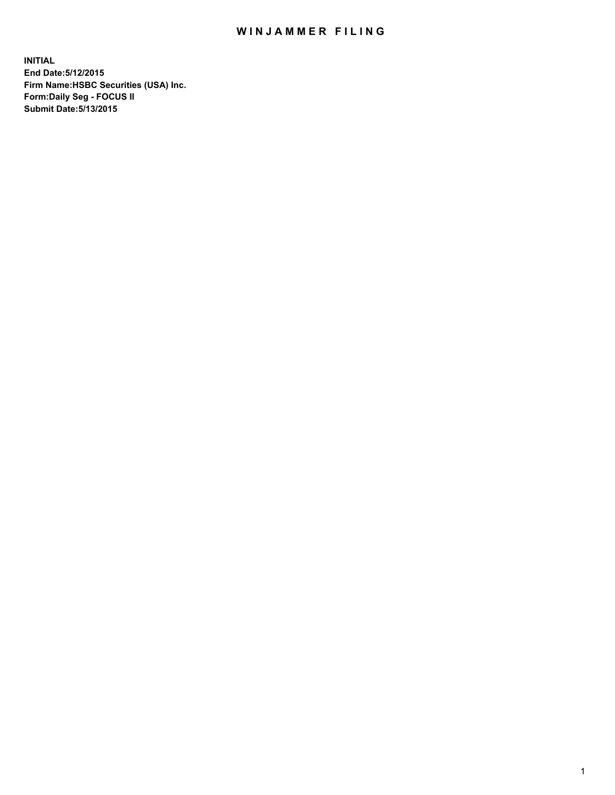## WIN JAMMER FILING

**INITIAL End Date:5/12/2015 Firm Name:HSBC Securities (USA) Inc. Form:Daily Seg - FOCUS II Submit Date:5/13/2015**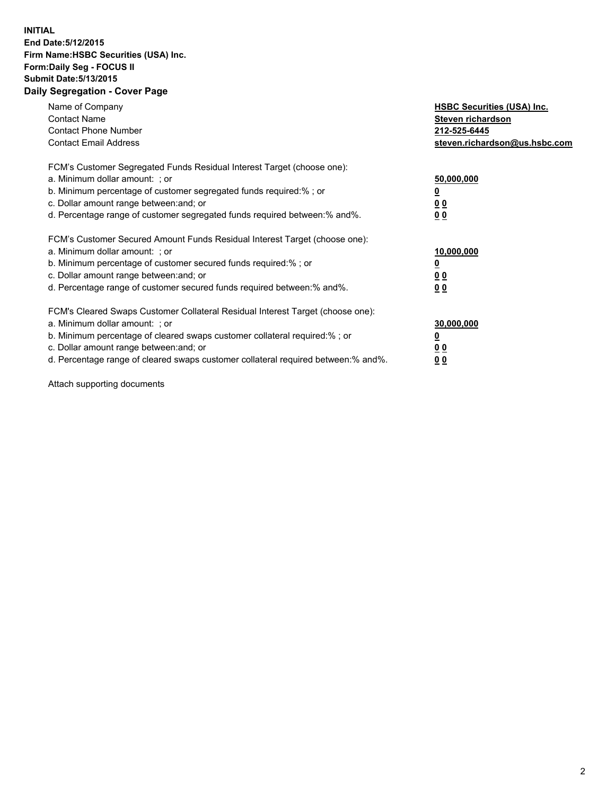## **INITIAL End Date:5/12/2015 Firm Name:HSBC Securities (USA) Inc. Form:Daily Seg - FOCUS II Submit Date:5/13/2015 Daily Segregation - Cover Page**

| Name of Company<br><b>Contact Name</b><br><b>Contact Phone Number</b><br><b>Contact Email Address</b>                                                                                                                                                                                                                         | <b>HSBC Securities (USA) Inc.</b><br>Steven richardson<br>212-525-6445<br>steven.richardson@us.hsbc.com |
|-------------------------------------------------------------------------------------------------------------------------------------------------------------------------------------------------------------------------------------------------------------------------------------------------------------------------------|---------------------------------------------------------------------------------------------------------|
| FCM's Customer Segregated Funds Residual Interest Target (choose one):<br>a. Minimum dollar amount: ; or<br>b. Minimum percentage of customer segregated funds required:% ; or<br>c. Dollar amount range between: and; or<br>d. Percentage range of customer segregated funds required between: % and %.                      | 50,000,000<br>0 <sub>0</sub><br>0 <sub>0</sub>                                                          |
| FCM's Customer Secured Amount Funds Residual Interest Target (choose one):<br>a. Minimum dollar amount: ; or<br>b. Minimum percentage of customer secured funds required:%; or<br>c. Dollar amount range between: and; or<br>d. Percentage range of customer secured funds required between:% and%.                           | 10,000,000<br>0 <sub>0</sub><br>00                                                                      |
| FCM's Cleared Swaps Customer Collateral Residual Interest Target (choose one):<br>a. Minimum dollar amount: ; or<br>b. Minimum percentage of cleared swaps customer collateral required:%; or<br>c. Dollar amount range between: and; or<br>d. Percentage range of cleared swaps customer collateral required between:% and%. | 30,000,000<br>0 <sub>0</sub><br>00                                                                      |

Attach supporting documents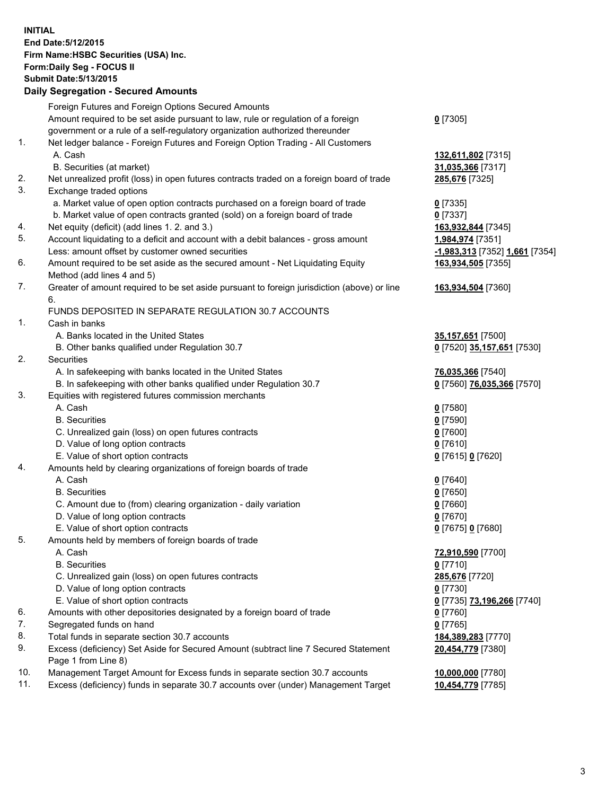**INITIAL End Date:5/12/2015 Firm Name:HSBC Securities (USA) Inc. Form:Daily Seg - FOCUS II Submit Date:5/13/2015 Daily Segregation - Secured Amounts**

Foreign Futures and Foreign Options Secured Amounts Amount required to be set aside pursuant to law, rule or regulation of a foreign government or a rule of a self-regulatory organization authorized thereunder **0** [7305] 1. Net ledger balance - Foreign Futures and Foreign Option Trading - All Customers A. Cash **132,611,802** [7315] B. Securities (at market) **31,035,366** [7317] 2. Net unrealized profit (loss) in open futures contracts traded on a foreign board of trade **285,676** [7325] 3. Exchange traded options a. Market value of open option contracts purchased on a foreign board of trade **0** [7335] b. Market value of open contracts granted (sold) on a foreign board of trade **0** [7337] 4. Net equity (deficit) (add lines 1. 2. and 3.) **163,932,844** [7345] 5. Account liquidating to a deficit and account with a debit balances - gross amount **1,984,974** [7351] Less: amount offset by customer owned securities **-1,983,313** [7352] **1,661** [7354] 6. Amount required to be set aside as the secured amount - Net Liquidating Equity Method (add lines 4 and 5) **163,934,505** [7355] 7. Greater of amount required to be set aside pursuant to foreign jurisdiction (above) or line 6. **163,934,504** [7360] FUNDS DEPOSITED IN SEPARATE REGULATION 30.7 ACCOUNTS 1. Cash in banks A. Banks located in the United States **35,157,651** [7500] B. Other banks qualified under Regulation 30.7 **0** [7520] **35,157,651** [7530] 2. Securities A. In safekeeping with banks located in the United States **76,035,366** [7540] B. In safekeeping with other banks qualified under Regulation 30.7 **0** [7560] **76,035,366** [7570] 3. Equities with registered futures commission merchants A. Cash **0** [7580] B. Securities **0** [7590] C. Unrealized gain (loss) on open futures contracts **0** [7600] D. Value of long option contracts **0** [7610] E. Value of short option contracts **0** [7615] **0** [7620] 4. Amounts held by clearing organizations of foreign boards of trade A. Cash **0** [7640] B. Securities **0** [7650] C. Amount due to (from) clearing organization - daily variation **0** [7660] D. Value of long option contracts **0** [7670] E. Value of short option contracts **0** [7675] **0** [7680] 5. Amounts held by members of foreign boards of trade A. Cash **72,910,590** [7700] B. Securities **0** [7710] C. Unrealized gain (loss) on open futures contracts **285,676** [7720] D. Value of long option contracts **0** [7730] E. Value of short option contracts **0** [7735] **73,196,266** [7740] 6. Amounts with other depositories designated by a foreign board of trade **0** [7760] 7. Segregated funds on hand **0** [7765] 8. Total funds in separate section 30.7 accounts **184,389,283** [7770] 9. Excess (deficiency) Set Aside for Secured Amount (subtract line 7 Secured Statement Page 1 from Line 8) **20,454,779** [7380] 10. Management Target Amount for Excess funds in separate section 30.7 accounts **10,000,000** [7780] 11. Excess (deficiency) funds in separate 30.7 accounts over (under) Management Target **10,454,779** [7785]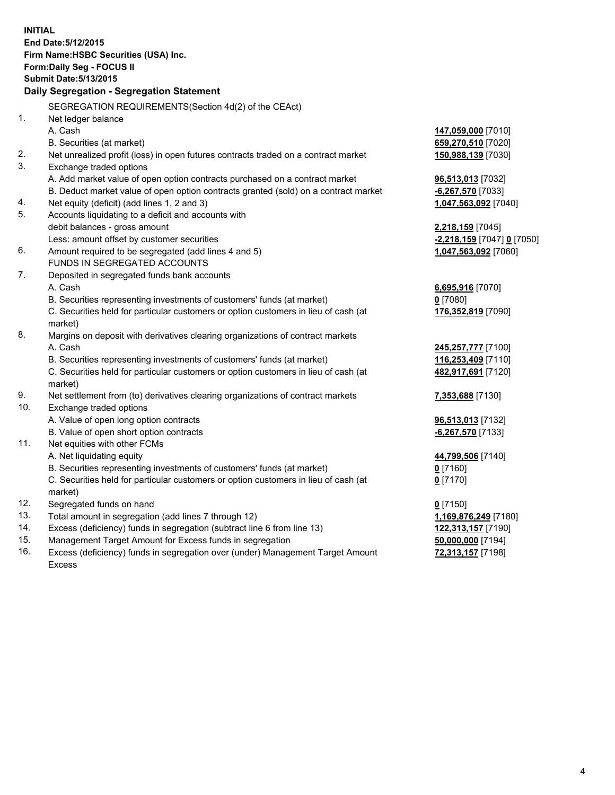|     | <b>INITIAL</b><br>End Date: 5/12/2015<br>Firm Name: HSBC Securities (USA) Inc.<br>Form: Daily Seg - FOCUS II |                            |
|-----|--------------------------------------------------------------------------------------------------------------|----------------------------|
|     | <b>Submit Date: 5/13/2015</b>                                                                                |                            |
|     | Daily Segregation - Segregation Statement                                                                    |                            |
|     | SEGREGATION REQUIREMENTS(Section 4d(2) of the CEAct)                                                         |                            |
| 1.  | Net ledger balance                                                                                           |                            |
|     | A. Cash                                                                                                      | 147,059,000 [7010]         |
|     | B. Securities (at market)                                                                                    | 659,270,510 [7020]         |
| 2.  | Net unrealized profit (loss) in open futures contracts traded on a contract market                           | 150,988,139 [7030]         |
| 3.  | Exchange traded options                                                                                      |                            |
|     | A. Add market value of open option contracts purchased on a contract market                                  | 96,513,013 [7032]          |
|     | B. Deduct market value of open option contracts granted (sold) on a contract market                          | -6,267,570 [7033]          |
| 4.  | Net equity (deficit) (add lines 1, 2 and 3)                                                                  | 1,047,563,092 [7040]       |
| 5.  | Accounts liquidating to a deficit and accounts with                                                          |                            |
|     | debit balances - gross amount                                                                                | 2,218,159 [7045]           |
|     | Less: amount offset by customer securities                                                                   | -2,218,159 [7047] 0 [7050] |
| 6.  | Amount required to be segregated (add lines 4 and 5)                                                         | 1,047,563,092 [7060]       |
|     | FUNDS IN SEGREGATED ACCOUNTS                                                                                 |                            |
| 7.  | Deposited in segregated funds bank accounts                                                                  |                            |
|     | A. Cash                                                                                                      | 6,695,916 [7070]           |
|     | B. Securities representing investments of customers' funds (at market)                                       | $0$ [7080]                 |
|     | C. Securities held for particular customers or option customers in lieu of cash (at<br>market)               | 176,352,819 [7090]         |
| 8.  | Margins on deposit with derivatives clearing organizations of contract markets                               |                            |
|     | A. Cash                                                                                                      | 245,257,777 [7100]         |
|     | B. Securities representing investments of customers' funds (at market)                                       | 116,253,409 [7110]         |
|     | C. Securities held for particular customers or option customers in lieu of cash (at<br>market)               | 482,917,691 [7120]         |
| 9.  | Net settlement from (to) derivatives clearing organizations of contract markets                              | 7,353,688 [7130]           |
| 10. | Exchange traded options                                                                                      |                            |
|     | A. Value of open long option contracts                                                                       | 96,513,013 [7132]          |
|     | B. Value of open short option contracts                                                                      | -6,267,570 [7133]          |
| 11. | Net equities with other FCMs                                                                                 |                            |
|     | A. Net liquidating equity                                                                                    | 44,799,506 [7140]          |
|     | B. Securities representing investments of customers' funds (at market)                                       | $0$ [7160]                 |
|     | C. Securities held for particular customers or option customers in lieu of cash (at<br>market)               | $0$ [7170]                 |
| 12. | Segregated funds on hand                                                                                     | $0$ [7150]                 |
| 13. | Total amount in segregation (add lines 7 through 12)                                                         | 1,169,876,249 [7180]       |
| 14. | Excess (deficiency) funds in segregation (subtract line 6 from line 13)                                      | 122,313,157 [7190]         |
| 15. | Management Target Amount for Excess funds in segregation                                                     | 50,000,000 [7194]          |
| 16. | Excess (deficiency) funds in segregation over (under) Management Target Amount<br>Excess                     | 72,313,157 [7198]          |